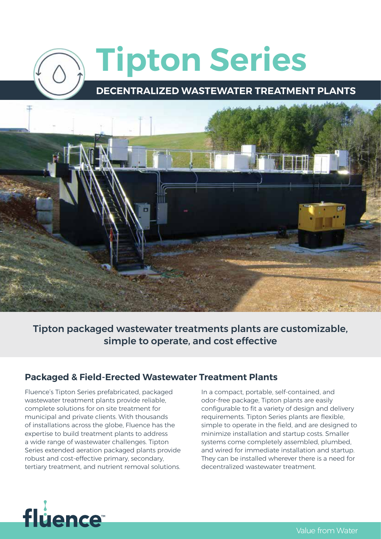# **Tipton Series DECENTRALIZED WASTEWATER TREATMENT PLANTS**



Tipton packaged wastewater treatments plants are customizable, simple to operate, and cost effective

## **Packaged & Field-Erected Wastewater Treatment Plants**

Fluence's Tipton Series prefabricated, packaged wastewater treatment plants provide reliable, complete solutions for on site treatment for municipal and private clients. With thousands of installations across the globe, Fluence has the expertise to build treatment plants to address a wide range of wastewater challenges. Tipton Series extended aeration packaged plants provide robust and cost-effective primary, secondary, tertiary treatment, and nutrient removal solutions.

In a compact, portable, self-contained, and odor-free package, Tipton plants are easily configurable to fit a variety of design and delivery requirements. Tipton Series plants are flexible, simple to operate in the field, and are designed to minimize installation and startup costs. Smaller systems come completely assembled, plumbed, and wired for immediate installation and startup. They can be installed wherever there is a need for decentralized wastewater treatment.

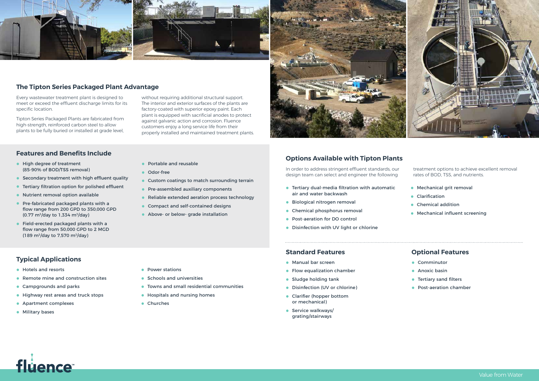# **Typical Applications**

- **•** Hotels and resorts
- **•** Remote mine and construction sites
- **•** Campgrounds and parks
- **•** Highway rest areas and truck stops
- **•** Apartment complexes
- **•** Military bases
- **•** High degree of treatment (85-90% of BOD/TSS removal)
- **•** Secondary treatment with high effluent quality
- **•** Tertiary filtration option for polished effluent
- **•** Nutrient removal option available
- **•** Pre-fabricated packaged plants with a flow range from 200 GPD to 350,000 GPD  $(0.77 \text{ m}^3/\text{day}$  to 1,334 m<sup>3</sup>/day)
- **•** Field-erected packaged plants with a flow range from 50,000 GPD to 2 MGD  $(189 \text{ m}^3/\text{day to } 7.570 \text{ m}^3/\text{day})$

- **•** Power stations
- **•** Schools and universities
- **•** Towns and small residential communities
- **•** Hospitals and nursing homes
- **•** Churches



#### **Features and Benefits Include**

- **•** Portable and reusable
- **•** Odor-free
- **•** Custom coatings to match surrounding terrain
- **•** Pre-assembled auxiliary components
- **•** Reliable extended aeration process technology
- **•** Compact and self-contained designs
- **•** Above- or below- grade installation



#### **Standard Features**

- **•** Manual bar screen
- **•** Flow equalization chamber
- **•** Sludge holding tank
- **•** Disinfection (UV or chlorine)
- **•** Clarifier (hopper bottom or mechanical)
- **•** Service walkways/ grating/stairways

#### **Optional Features**

- **•** Comminutor
- **•** Anoxic basin
- **•** Tertiary sand filters
- **•** Post-aeration chamber



## **The Tipton Series Packaged Plant Advantage**

Every wastewater treatment plant is designed to meet or exceed the effluent discharge limits for its specific location.

Tipton Series Packaged Plants are fabricated from high-strength, reinforced carbon steel to allow plants to be fully buried or installed at grade level,

without requiring additional structural support. The interior and exterior surfaces of the plants are factory-coated with superior epoxy paint. Each plant is equipped with sacrificial anodes to protect against galvanic action and corrosion. Fluence customers enjoy a long service life from their properly installed and maintained treatment plants.

#### **Options Available with Tipton Plants**

In order to address stringent effluent standards, our design team can select and engineer the following

treatment options to achieve excellent removal rates of BOD, TSS, and nutrients.

- **•** Tertiary dual-media filtration with automatic air and water backwash
- **•** Biological nitrogen removal
- **•** Chemical phosphorus removal
- **•** Post-aeration for DO control
- **•** Disinfection with UV light or chlorine
- **•** Mechanical grit removal
- **•** Clarification
- **•** Chemical addition
- **•** Mechanical influent screening